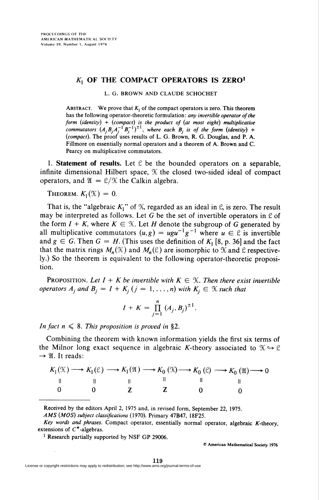## $K_1$  OF THE COMPACT OPERATORS IS ZERO<sup>1</sup>

## L. G. BROWN AND CLAUDE SCHOCHET

ABSTRACT. We prove that  $K_1$  of the compact operators is zero. This theorem has the following operator-theoretic formulation: any invertible operator of the form (identity) + (compact) is the product of (at most eight) multiplicative commutators  $(A_jB_jA_j^{-1}B_j^{-1})^{-1}$ , where each  $B_j$  is of the form (identity) + (compact). The proof uses results of L. G. Brown, R. G. Douglas, and P. A. Fillmore on essentially normal operators and a theorem of A. Brown and C. Pearcy on multiplicative commutators.

1. Statement of results. Let  $\mathcal C$  be the bounded operators on a separable, infinite dimensional Hilbert space,  $K$  the closed two-sided ideal of compact operators, and  $\mathfrak{A} = \mathfrak{L}/\mathfrak{K}$  the Calkin algebra.

THEOREM.  $K_1(\mathfrak{K}) = 0$ .

That is, the "algebraic  $K_1$ " of  $K$ , regarded as an ideal in  $\mathcal{L}$ , is zero. The result may be interpreted as follows. Let G be the set of invertible operators in  $\mathfrak C$  of the form  $I + K$ , where  $K \in \mathcal{K}$ . Let H denote the subgroup of G generated by all multiplicative commutators  $(u, g) = ugu^{-1}g^{-1}$  where  $u \in \mathcal{C}$  is invertible and  $g \in G$ . Then  $G = H$ . (This uses the definition of  $K_1$  [8, p. 36] and the fact that the matrix rings  $M_n(\mathcal{K})$  and  $M_n(\mathcal{C})$  are isomorphic to  $\mathcal K$  and  $\mathcal C$  respectively.) So the theorem is equivalent to the following operator-theoretic proposition.

**PROPOSITION.** Let  $I + K$  be invertible with  $K \in \mathcal{K}$ . Then there exist invertible operators  $A_j$  and  $B_j = I + K_j$   $(j = 1, ..., n)$  with  $K_j \in \mathcal{K}$  such that

$$
I + K = \prod_{j=1}^{n} (A_j, B_j)^{\pm 1}.
$$

In fact  $n \leq 8$ . This proposition is proved in §2.

Combining the theorem with known information yields the first six terms of the Milnor long exact sequence in algebraic K-theory associated to  $\mathcal{K} \hookrightarrow \mathcal{C}$  $\rightarrow$  21. It reads:

|  |  | $K_1(\mathfrak{X}) \longrightarrow K_1(\mathfrak{L}) \longrightarrow K_1(\mathfrak{A}) \longrightarrow K_0(\mathfrak{A}) \longrightarrow K_0(\mathfrak{L}) \longrightarrow K_0(\mathfrak{A}) \longrightarrow 0$ |
|--|--|-----------------------------------------------------------------------------------------------------------------------------------------------------------------------------------------------------------------|
|  |  |                                                                                                                                                                                                                 |
|  |  |                                                                                                                                                                                                                 |

Received by the editors April 2, 1975 and, in revised form, September 22, 1975.

<sup>1</sup> Research partially supported by NSF GP 29006.

© American Mathematical Society 1976

AMS (A/05) subject classifications (1970). Primary 47B47, 18F25.

Key words and phrases. Compact operator, essentially normal operator, algebraic K-theory, extensions of  $C^*$ -algebras.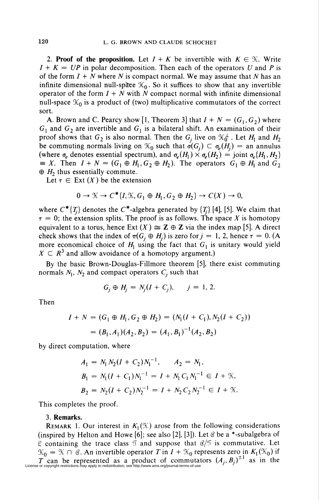2. Proof of the proposition. Let  $I + K$  be invertible with  $K \in \mathcal{K}$ . Write  $I + K = UP$  in polar decomposition. Then each of the operators U and P is of the form  $I + N$  where N is compact normal. We may assume that N has an infinite dimensional null-space  $\mathcal{K}_0$ . So it suffices to show that any invertible operator of the form  $I + N$  with N compact normal with infinite dimensional null-space  $\mathcal{K}_0$  is a product of (two) multiplicative commutators of the correct sort.

A. Brown and C. Pearcy show [1, Theorem 3] that  $I + N = (G_1, G_2)$  where  $G_1$  and  $G_2$  are invertible and  $G_1$  is a bilateral shift. An examination of their proof shows that  $G_2$  is also normal. Then the  $G_i$  live on  $\mathcal{K}_0^{\perp}$ . Let  $H_1$  and  $H_2$ be commuting normals living on  $\mathcal{K}_0$  such that  $\sigma(G_i) \subset \sigma_e(H_i) =$  an annulus (where  $\sigma_e$  denotes essential spectrum), and  $\sigma_e(H_1) \times \sigma_e(H_2) = \text{joint } \sigma_e(H_1, H_2)$  $\equiv X$ . Then  $I + N = (G_1 \oplus H_1, G_2 \oplus H_2)$ . The operators  $G_1 \oplus H_1$  and  $G_2$  $\oplus H_2$  thus essentially commute.

Let  $\tau \in$  Ext  $(X)$  be the extension

$$
0 \to \mathfrak{X} \to C^*\{I, \mathfrak{X}, G_1 \oplus H_1, G_2 \oplus H_2\} \to C(X) \to 0,
$$

where  $C^*$ {T<sub>j</sub>} denotes the  $C^*$ -algebra generated by {T<sub>j</sub>} [4], [5]. We claim that  $\tau = 0$ ; the extension splits. The proof is as follows. The space X is homotopy equivalent to a torus, hence Ext  $(X) \cong Z \oplus Z$  via the index map [5]. A direct check shows that the index of  $\pi(G_j \oplus H_j)$  is zero for  $j = 1, 2$ , hence  $\tau = 0$ . (A more economical choice of  $H_1$  using the fact that  $G_1$  is unitary would yield  $X \subset R^3$  and allow avoidance of a homotopy argument.)

By the basic Brown-Douglas-Fillmore theorem [5], there exist commuting normals  $N_1$ ,  $N_2$  and compact operators  $C_i$  such that

$$
G_i \oplus H_j = N_i(I + C_j), \quad j = 1, 2.
$$

Then

$$
I + N = (G_1 \oplus H_1, G_2 \oplus H_2) = (N_1(I + C_1), N_2(I + C_2))
$$
  
=  $(B_1, A_1)(A_2, B_2) = (A_1, B_1)^{-1}(A_2, B_2)$ 

by direct computation, where

$$
A_1 = N_1 N_2 (I + C_2) N_1^{-1}, \qquad A_2 = N_1,
$$
  
\n
$$
B_1 = N_1 (I + C_1) N_1^{-1} = I + N_1 C_1 N_1^{-1} \in I + \mathcal{K},
$$
  
\n
$$
B_2 = N_2 (I + C_2) N_2^{-1} = I + N_2 C_2 N_2^{-1} \in I + \mathcal{K}.
$$

This completes the proof.

## 3. Remarks.

REMARK 1. Our interest in  $K_1(\mathfrak{X})$  arose from the following considerations (inspired by Helton and Howe [6]; see also [2], [3]). Let  $\mathcal C$  be a \*-subalgebra of  $\mathcal E$  containing the trace class  $\mathcal T$  and suppose that  $\mathcal C/\mathcal T$  is commutative. Let  $\mathfrak{K}_0 = \mathfrak{K} \cap \mathfrak{C}$ . An invertible operator T in  $I + \mathfrak{K}_0$  represents zero in  $K_1(\mathfrak{K}_0)$  if  $T$  can be represented as a product of commutators  $(A_j, B_j)^{\perp}$  as in the License or copyright restrictions may apply to redistribution; see http://www.ams.org/journal-terms-of-use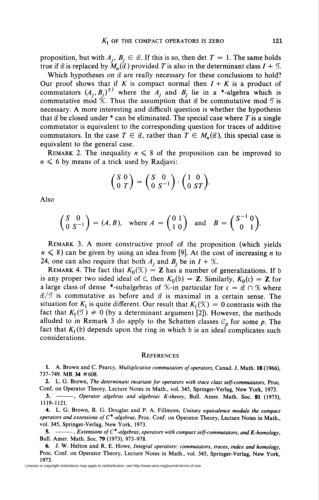proposition, but with  $A_i$ ,  $B_i \in \mathcal{C}$ . If this is so, then det  $T = 1$ . The same holds true if  $\mathcal C$  is replaced by  $M_n(\mathcal C)$  provided T is also in the determinant class  $I + \mathcal T$ .

Which hypotheses on  $\mathcal C$  are really necessary for these conclusions to hold? Our proof shows that if K is compact normal then  $I + K$  is a product of commutators  $(A_j, B_j)^{\pm 1}$  where the  $A_j$  and  $B_j$  lie in a \*-algebra which is commutative mod  $\mathcal{K}$ . Thus the assumption that  $\mathcal{C}$  be commutative mod  $\mathcal{T}$  is necessary. A more interesting and difficult question is whether the hypothesis that  $\theta$  be closed under  $*$  can be eliminated. The special case where T is a single commutator is equivalent to the corresponding question for traces of additive commutators. In the case  $T \in \mathcal{C}$ , rather than  $T \in M_n(\mathcal{C})$ , this special case is equivalent to the general case.

REMARK 2. The inequality  $n \leq 8$  of the proposition can be improved to  $n \leq 6$  by means of a trick used by Radjavi:

$$
\begin{pmatrix} S & 0 \\ 0 & T \end{pmatrix} = \begin{pmatrix} S & 0 \\ 0 & S^{-1} \end{pmatrix} \cdot \begin{pmatrix} 1 & 0 \\ 0 & ST \end{pmatrix}.
$$

Also

$$
\begin{pmatrix} S & 0 \\ 0 & S^{-1} \end{pmatrix} = (A, B), \text{ where } A = \begin{pmatrix} 0 & 1 \\ 1 & 0 \end{pmatrix} \text{ and } B = \begin{pmatrix} S^{-1} & 0 \\ 0 & 1 \end{pmatrix}.
$$

Remark 3. A more constructive proof of the proposition (which yields  $n \leq 8$ ) can be given by using an idea from [9]. At the cost of increasing *n* to 24, one can also require that both  $A_j$  and  $B_j$  be in  $I + \mathcal{K}$ .

REMARK 4. The fact that  $K_0(\mathfrak{X}) = \mathbb{Z}$  has a number of generalizations. If b is any proper two sided ideal of  $\mathcal{L}$ , then  $K_0(\mathfrak{b}) = \mathbb{Z}$ . Similarly,  $K_0(\mathfrak{c}) = \mathbb{Z}$  for a large class of dense \*-subalgebras of  $\mathcal{K}-i$  particular for  $c = \mathcal{C} \cap \mathcal{K}$  where  $\mathcal{C}/\mathcal{T}$  is commutative as before and  $\mathcal C$  is maximal in a certain sense. The situation for  $K_1$  is quite different. Our result that  $K_1(\mathfrak{X}) = 0$  contrasts with the fact that  $K_1(\mathcal{I}) \neq 0$  (by a determinant argument [2]). However, the method alluded to in Remark 3 do apply to the Schatten classes  $C_p$  for some p. The fact that  $K_1(b)$  depends upon the ring in which b is an ideal complicates such considerations.

## **REFERENCES**

1. A. Brown and C. Pearcy, Multiplicative commutators of operators, Canad. J. Math. 18 (1966), 737-749. MR 34 #608.

2. L. G. Brown, The determinant invariant for operators with trace class self-commutators, Proc. Conf. on Operator Theory, Lecture Notes in Math., vol. 345, Springer-Verlag, New York, 1973.

3. -- , Operator algebras and algebraic K-theory, Bull. Amer. Math. Soc. 81 (1975), 1119-1121.

4. L. G. Brown, R. G. Douglas and P. A. Fillmore, Unitary equivalence modulo the compact operators and extensions of  $C^*$ -algebras, Proc. Conf. on Operator Theory, Lecture Notes in Math., vol. 345, Springer-Verlag, New York, 1973.

5.  $-\cdots$ , Extensions of C<sup>\*</sup>-algebras, operators with compact self-commutators, and K-homology, Bull. Amer. Math. Soc. 79 (1973), 973-978.

6. J. W. Helton and R. E. Howe, Integral operators: commutators, traces, index and homology, Proc. Conf. on Operator Theory, Lecture Notes in Math., vol. 345, Springer-Verlag, New York, 1973.